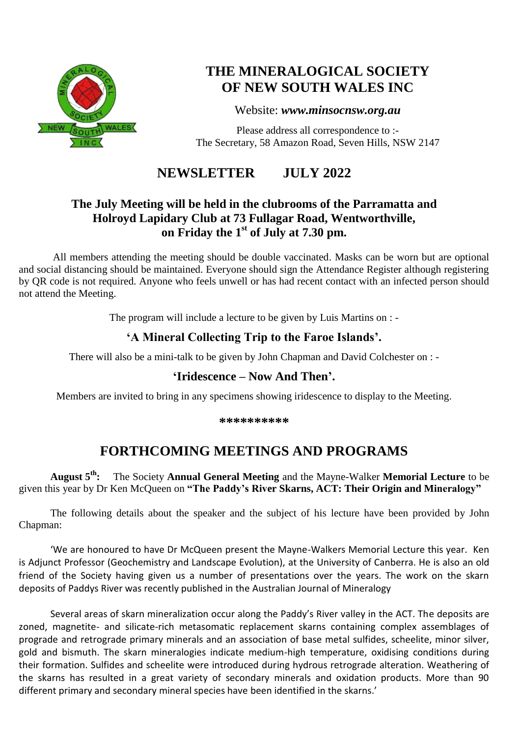

# **THE MINERALOGICAL SOCIETY OF NEW SOUTH WALES INC**

### Website: *[www.minsocnsw.org.au](http://www.minsocnsw.org.au/)*

Please address all correspondence to :- The Secretary, 58 Amazon Road, Seven Hills, NSW 2147

# **NEWSLETTER JULY 2022**

## **The July Meeting will be held in the clubrooms of the Parramatta and Holroyd Lapidary Club at 73 Fullagar Road, Wentworthville, on Friday the 1 st of July at 7.30 pm.**

All members attending the meeting should be double vaccinated. Masks can be worn but are optional and social distancing should be maintained. Everyone should sign the Attendance Register although registering by QR code is not required. Anyone who feels unwell or has had recent contact with an infected person should not attend the Meeting.

The program will include a lecture to be given by Luis Martins on : -

# **'A Mineral Collecting Trip to the Faroe Islands'.**

There will also be a mini-talk to be given by John Chapman and David Colchester on : -

## **'Iridescence – Now And Then'.**

Members are invited to bring in any specimens showing iridescence to display to the Meeting.

**\*\*\*\*\*\*\*\*\*\***

# **FORTHCOMING MEETINGS AND PROGRAMS**

**August 5th:** The Society **Annual General Meeting** and the Mayne-Walker **Memorial Lecture** to be given this year by Dr Ken McQueen on **"The Paddy's River Skarns, ACT: Their Origin and Mineralogy"**

The following details about the speaker and the subject of his lecture have been provided by John Chapman:

'We are honoured to have Dr McQueen present the Mayne-Walkers Memorial Lecture this year. Ken is Adjunct Professor (Geochemistry and Landscape Evolution), at the University of Canberra. He is also an old friend of the Society having given us a number of presentations over the years. The work on the skarn deposits of Paddys River was recently published in the Australian Journal of Mineralogy

Several areas of skarn mineralization occur along the Paddy's River valley in the ACT. The deposits are zoned, magnetite- and silicate-rich metasomatic replacement skarns containing complex assemblages of prograde and retrograde primary minerals and an association of base metal sulfides, scheelite, minor silver, gold and bismuth. The skarn mineralogies indicate medium-high temperature, oxidising conditions during their formation. Sulfides and scheelite were introduced during hydrous retrograde alteration. Weathering of the skarns has resulted in a great variety of secondary minerals and oxidation products. More than 90 different primary and secondary mineral species have been identified in the skarns.'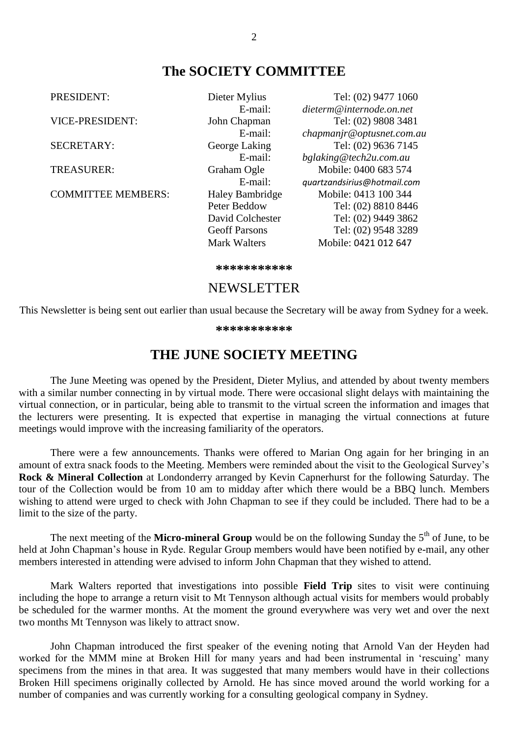## **The SOCIETY COMMITTEE**

PRESIDENT: Dieter Mylius Tel: (02) 9477 1060 E-mail: *[dieterm@internode.on.net](mailto:dieterm@internode.on.net)* VICE-PRESIDENT: John Chapman Tel: (02) 9808 3481 E-mail: *chapmanjr@optusnet.com.au* SECRETARY: George Laking Tel: (02) 9636 7145<br>E-mail: *belaking@tech2u.com.au* E-mail: *bglaking@tech2u.com.au*<br>Graham Ogle Mobile: 0400 683 574 TREASURER: Graham Ogle Mobile: 0400 683 574 E-mail: *[quartzandsirius@hotmail.com](mailto:quartzandsirius@hotmail.com)* COMMITTEE MEMBERS: Haley Bambridge Mobile: 0413 100 344<br>Peter Beddow Tel: (02) 8810 844 Peter Beddow Tel: (02) 8810 8446<br>David Colchester Tel: (02) 9449 3862 Tel: (02) 9449 3862 Geoff Parsons Tel: (02) 9548 3289 Mark Walters Mobile: 0421 012 647

**\*\*\*\*\*\*\*\*\*\*\***

#### NEWSLETTER

This Newsletter is being sent out earlier than usual because the Secretary will be away from Sydney for a week.

**\*\*\*\*\*\*\*\*\*\*\***

## **THE JUNE SOCIETY MEETING**

The June Meeting was opened by the President, Dieter Mylius, and attended by about twenty members with a similar number connecting in by virtual mode. There were occasional slight delays with maintaining the virtual connection, or in particular, being able to transmit to the virtual screen the information and images that the lecturers were presenting. It is expected that expertise in managing the virtual connections at future meetings would improve with the increasing familiarity of the operators.

There were a few announcements. Thanks were offered to Marian Ong again for her bringing in an amount of extra snack foods to the Meeting. Members were reminded about the visit to the Geological Survey's **Rock & Mineral Collection** at Londonderry arranged by Kevin Capnerhurst for the following Saturday. The tour of the Collection would be from 10 am to midday after which there would be a BBQ lunch. Members wishing to attend were urged to check with John Chapman to see if they could be included. There had to be a limit to the size of the party.

The next meeting of the Micro-mineral Group would be on the following Sunday the 5<sup>th</sup> of June, to be held at John Chapman's house in Ryde. Regular Group members would have been notified by e-mail, any other members interested in attending were advised to inform John Chapman that they wished to attend.

Mark Walters reported that investigations into possible **Field Trip** sites to visit were continuing including the hope to arrange a return visit to Mt Tennyson although actual visits for members would probably be scheduled for the warmer months. At the moment the ground everywhere was very wet and over the next two months Mt Tennyson was likely to attract snow.

John Chapman introduced the first speaker of the evening noting that Arnold Van der Heyden had worked for the MMM mine at Broken Hill for many years and had been instrumental in 'rescuing' many specimens from the mines in that area. It was suggested that many members would have in their collections Broken Hill specimens originally collected by Arnold. He has since moved around the world working for a number of companies and was currently working for a consulting geological company in Sydney.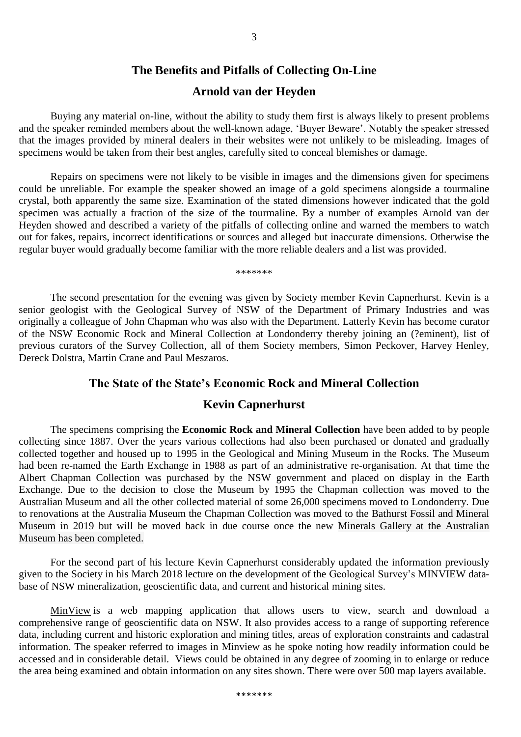#### **The Benefits and Pitfalls of Collecting On-Line**

#### **Arnold van der Heyden**

Buying any material on-line, without the ability to study them first is always likely to present problems and the speaker reminded members about the well-known adage, 'Buyer Beware'. Notably the speaker stressed that the images provided by mineral dealers in their websites were not unlikely to be misleading. Images of specimens would be taken from their best angles, carefully sited to conceal blemishes or damage.

Repairs on specimens were not likely to be visible in images and the dimensions given for specimens could be unreliable. For example the speaker showed an image of a gold specimens alongside a tourmaline crystal, both apparently the same size. Examination of the stated dimensions however indicated that the gold specimen was actually a fraction of the size of the tourmaline. By a number of examples Arnold van der Heyden showed and described a variety of the pitfalls of collecting online and warned the members to watch out for fakes, repairs, incorrect identifications or sources and alleged but inaccurate dimensions. Otherwise the regular buyer would gradually become familiar with the more reliable dealers and a list was provided.

\*\*\*\*\*\*\*

The second presentation for the evening was given by Society member Kevin Capnerhurst. Kevin is a senior geologist with the Geological Survey of NSW of the Department of Primary Industries and was originally a colleague of John Chapman who was also with the Department. Latterly Kevin has become curator of the NSW Economic Rock and Mineral Collection at Londonderry thereby joining an (?eminent), list of previous curators of the Survey Collection, all of them Society members, Simon Peckover, Harvey Henley, Dereck Dolstra, Martin Crane and Paul Meszaros.

#### **The State of the State's Economic Rock and Mineral Collection**

#### **Kevin Capnerhurst**

The specimens comprising the **Economic Rock and Mineral Collection** have been added to by people collecting since 1887. Over the years various collections had also been purchased or donated and gradually collected together and housed up to 1995 in the Geological and Mining Museum in the Rocks. The Museum had been re-named the Earth Exchange in 1988 as part of an administrative re-organisation. At that time the Albert Chapman Collection was purchased by the NSW government and placed on display in the Earth Exchange. Due to the decision to close the Museum by 1995 the Chapman collection was moved to the Australian Museum and all the other collected material of some 26,000 specimens moved to Londonderry. Due to renovations at the Australia Museum the Chapman Collection was moved to the Bathurst Fossil and Mineral Museum in 2019 but will be moved back in due course once the new Minerals Gallery at the Australian Museum has been completed.

For the second part of his lecture Kevin Capnerhurst considerably updated the information previously given to the Society in his March 2018 lecture on the development of the Geological Survey's MINVIEW database of NSW mineralization, geoscientific data, and current and historical mining sites.

[MinView](https://minview.geoscience.nsw.gov.au/) is a web mapping application that allows users to view, search and download a comprehensive range of geoscientific data on NSW. It also provides access to a range of supporting reference data, including current and historic exploration and mining titles, areas of exploration constraints and cadastral information. The speaker referred to images in Minview as he spoke noting how readily information could be accessed and in considerable detail. Views could be obtained in any degree of zooming in to enlarge or reduce the area being examined and obtain information on any sites shown. There were over 500 map layers available.

\*\*\*\*\*\*\*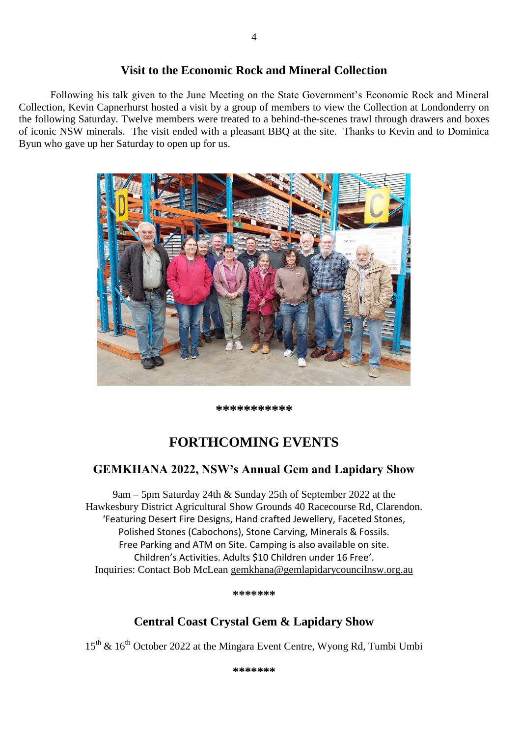### **Visit to the Economic Rock and Mineral Collection**

Following his talk given to the June Meeting on the State Government's Economic Rock and Mineral Collection, Kevin Capnerhurst hosted a visit by a group of members to view the Collection at Londonderry on the following Saturday. Twelve members were treated to a behind-the-scenes trawl through drawers and boxes of iconic NSW minerals. The visit ended with a pleasant BBQ at the site. Thanks to Kevin and to Dominica Byun who gave up her Saturday to open up for us.



**\*\*\*\*\*\*\*\*\*\*\***

# **FORTHCOMING EVENTS**

## **GEMKHANA 2022, NSW's Annual Gem and Lapidary Show**

9am – 5pm Saturday 24th & Sunday 25th of September 2022 at the Hawkesbury District Agricultural Show Grounds 40 Racecourse Rd, Clarendon. 'Featuring Desert Fire Designs, Hand crafted Jewellery, Faceted Stones, Polished Stones (Cabochons), Stone Carving, Minerals & Fossils. Free Parking and ATM on Site. Camping is also available on site. Children's Activities. Adults \$10 Children under 16 Free'. Inquiries: Contact Bob McLean [gemkhana@gemlapidarycouncilnsw.org.au](mailto:gemkhana@gemlapidarycouncilnsw.org.au)

**\*\*\*\*\*\*\***

## **Central Coast Crystal Gem & Lapidary Show**

 $15^{\text{th}}$  &  $16^{\text{th}}$  October 2022 at the Mingara Event Centre, Wyong Rd, Tumbi Umbi

**\*\*\*\*\*\*\***